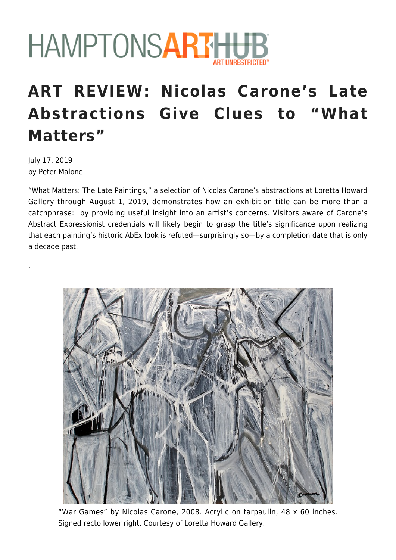

## **ART REVIEW: Nicolas Carone's Late Abstractions Give Clues to "What Matters"**

July 17, 2019 by Peter Malone

.

"What Matters: The Late Paintings," a selection of Nicolas Carone's abstractions at Loretta Howard Gallery through August 1, 2019, demonstrates how an exhibition title can be more than a catchphrase: by providing useful insight into an artist's concerns. Visitors aware of Carone's Abstract Expressionist credentials will likely begin to grasp the title's significance upon realizing that each painting's historic AbEx look is refuted—surprisingly so—by a completion date that is only a decade past.



"War Games" by Nicolas Carone, 2008. Acrylic on tarpaulin, 48 x 60 inches. Signed recto lower right. Courtesy of Loretta Howard Gallery.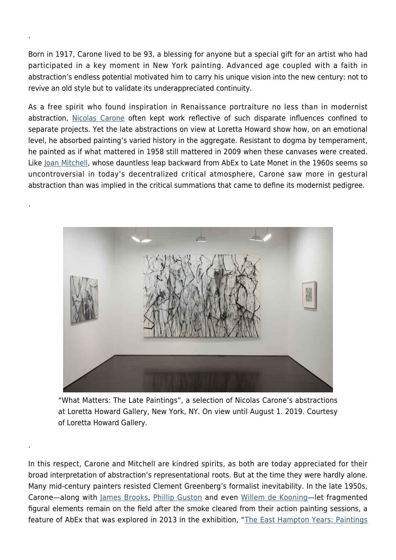Born in 1917, Carone lived to be 93, a blessing for anyone but a special gift for an artist who had participated in a key moment in New York painting. Advanced age coupled with a faith in abstraction's endless potential motivated him to carry his unique vision into the new century: not to revive an old style but to validate its underappreciated continuity.

.

.

.

As a free spirit who found inspiration in Renaissance portraiture no less than in modernist abstraction, [Nicolas Carone](https://www.lorettahoward.com/artists/nicolas-carone/biography) often kept work reflective of such disparate influences confined to separate projects. Yet the late abstractions on view at Loretta Howard show how, on an emotional level, he absorbed painting's varied history in the aggregate. Resistant to dogma by temperament, he painted as if what mattered in 1958 still mattered in 2009 when these canvases were created. Like [Joan Mitchell,](https://hamptonsarthub.com/2018/10/22/reviews-art-review-high-voltage-selection-of-joan-mitchell-paintings-at-cheim-read/) whose dauntless leap backward from AbEx to Late Monet in the 1960s seems so uncontroversial in today's decentralized critical atmosphere, Carone saw more in gestural abstraction than was implied in the critical summations that came to define its modernist pedigree.



"What Matters: The Late Paintings", a selection of Nicolas Carone's abstractions at Loretta Howard Gallery, New York, NY. On view until August 1. 2019. Courtesy of Loretta Howard Gallery.

In this respect, Carone and Mitchell are kindred spirits, as both are today appreciated for their broad interpretation of abstraction's representational roots. But at the time they were hardly alone. Many mid-century painters resisted Clement Greenberg's formalist inevitability. In the late 1950s, Carone—along with [James Brooks,](https://hamptonsarthub.com/2017/08/29/news-james-and-charlotte-brooks-foundation-in-entirety-given-to-the-parrish-art-museum/) [Phillip Guston](https://www.phillipscollection.org/research/american_art/bios/guston-bio.htm) and even [Willem de Kooning—](https://hamptonsarthub.com/2016/11/20/news-willem-de-kooning-monet-kandinsky-dubuffet-paintings-smash-artist-auction-sales-records-at-christies/)let fragmented figural elements remain on the field after the smoke cleared from their action painting sessions, a feature of AbEx that was explored in 2013 in the exhibition, "[The East Hampton Years: Paintings](https://hamptonsarthub.com/2013/06/29/commentary-nick-carone-a-primer-on-abstract-expressionism-in-its-prime/)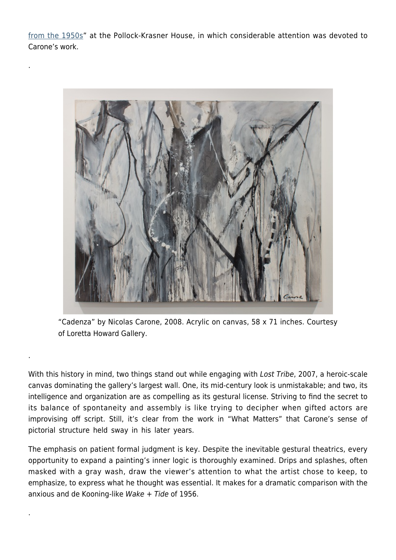[from the 1950s](https://hamptonsarthub.com/2013/06/29/commentary-nick-carone-a-primer-on-abstract-expressionism-in-its-prime/)" at the Pollock-Krasner House, in which considerable attention was devoted to Carone's work.

.

.

.



"Cadenza" by Nicolas Carone, 2008. Acrylic on canvas, 58 x 71 inches. Courtesy of Loretta Howard Gallery.

With this history in mind, two things stand out while engaging with Lost Tribe, 2007, a heroic-scale canvas dominating the gallery's largest wall. One, its mid-century look is unmistakable; and two, its intelligence and organization are as compelling as its gestural license. Striving to find the secret to its balance of spontaneity and assembly is like trying to decipher when gifted actors are improvising off script. Still, it's clear from the work in "What Matters" that Carone's sense of pictorial structure held sway in his later years.

The emphasis on patient formal judgment is key. Despite the inevitable gestural theatrics, every opportunity to expand a painting's inner logic is thoroughly examined. Drips and splashes, often masked with a gray wash, draw the viewer's attention to what the artist chose to keep, to emphasize, to express what he thought was essential. It makes for a dramatic comparison with the anxious and de Kooning-like Wake  $+$  Tide of 1956.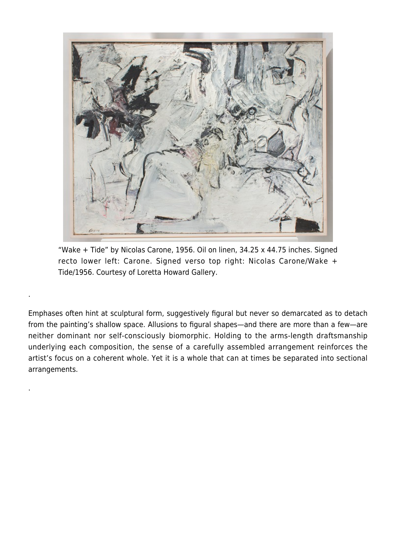

"Wake + Tide" by Nicolas Carone, 1956. Oil on linen, 34.25 x 44.75 inches. Signed recto lower left: Carone. Signed verso top right: Nicolas Carone/Wake + Tide/1956. Courtesy of Loretta Howard Gallery.

.

.

Emphases often hint at sculptural form, suggestively figural but never so demarcated as to detach from the painting's shallow space. Allusions to figural shapes—and there are more than a few—are neither dominant nor self-consciously biomorphic. Holding to the arms-length draftsmanship underlying each composition, the sense of a carefully assembled arrangement reinforces the artist's focus on a coherent whole. Yet it is a whole that can at times be separated into sectional arrangements.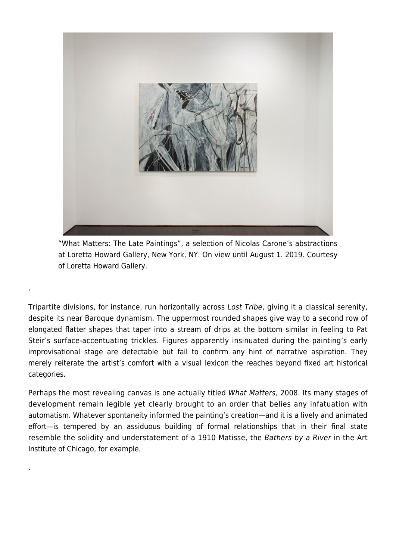

"What Matters: The Late Paintings", a selection of Nicolas Carone's abstractions at Loretta Howard Gallery, New York, NY. On view until August 1. 2019. Courtesy of Loretta Howard Gallery.

.

.

Tripartite divisions, for instance, run horizontally across Lost Tribe, giving it a classical serenity, despite its near Baroque dynamism. The uppermost rounded shapes give way to a second row of elongated flatter shapes that taper into a stream of drips at the bottom similar in feeling to Pat Steir's surface-accentuating trickles. Figures apparently insinuated during the painting's early improvisational stage are detectable but fail to confirm any hint of narrative aspiration. They merely reiterate the artist's comfort with a visual lexicon the reaches beyond fixed art historical categories.

Perhaps the most revealing canvas is one actually titled What Matters, 2008. Its many stages of development remain legible yet clearly brought to an order that belies any infatuation with automatism. Whatever spontaneity informed the painting's creation—and it is a lively and animated effort—is tempered by an assiduous building of formal relationships that in their final state resemble the solidity and understatement of a 1910 Matisse, the Bathers by a River in the Art Institute of Chicago, for example.